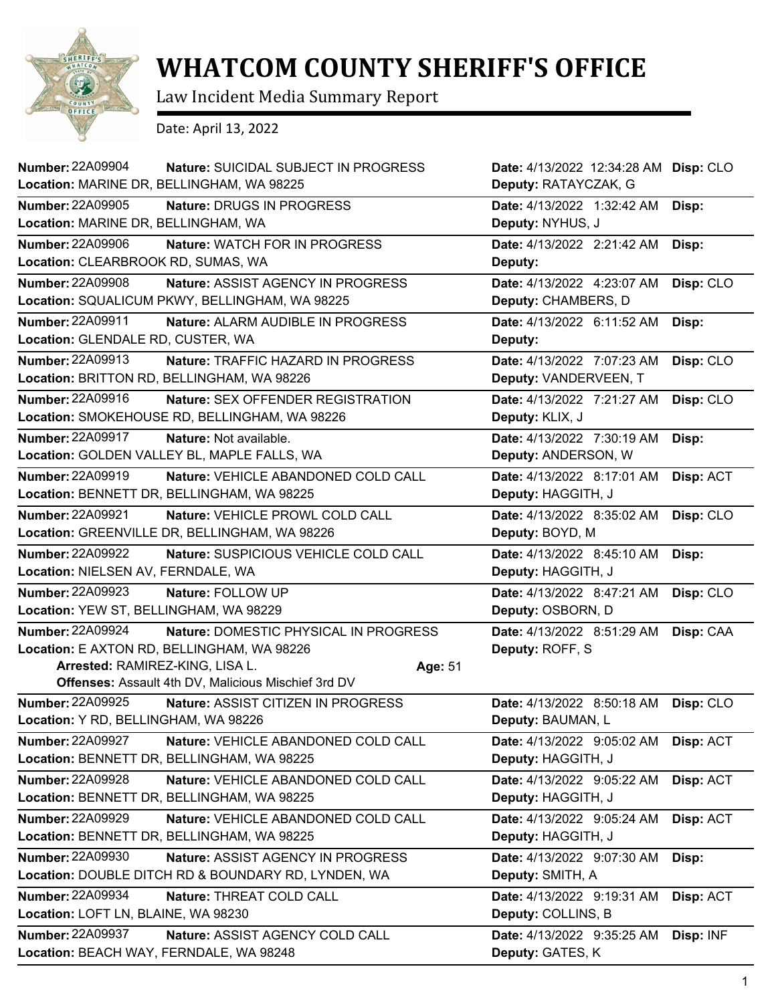

## **WHATCOM COUNTY SHERIFF'S OFFICE**

Law Incident Media Summary Report

Date: April 13, 2022

| Number: 22A09904<br>Location: MARINE DR, BELLINGHAM, WA 98225     | Nature: SUICIDAL SUBJECT IN PROGRESS                                                                                                       | Date: 4/13/2022 12:34:28 AM Disp: CLO<br>Deputy: RATAYCZAK, G |           |
|-------------------------------------------------------------------|--------------------------------------------------------------------------------------------------------------------------------------------|---------------------------------------------------------------|-----------|
| <b>Number: 22A09905</b><br>Location: MARINE DR, BELLINGHAM, WA    | Nature: DRUGS IN PROGRESS                                                                                                                  | Date: 4/13/2022 1:32:42 AM<br>Deputy: NYHUS, J                | Disp:     |
| <b>Number: 22A09906</b><br>Location: CLEARBROOK RD, SUMAS, WA     | Nature: WATCH FOR IN PROGRESS                                                                                                              | Date: 4/13/2022 2:21:42 AM<br>Deputy:                         | Disp:     |
| <b>Number: 22A09908</b>                                           | Nature: ASSIST AGENCY IN PROGRESS<br>Location: SQUALICUM PKWY, BELLINGHAM, WA 98225                                                        | Date: 4/13/2022 4:23:07 AM<br>Deputy: CHAMBERS, D             | Disp: CLO |
| <b>Number: 22A09911</b><br>Location: GLENDALE RD, CUSTER, WA      | Nature: ALARM AUDIBLE IN PROGRESS                                                                                                          | Date: 4/13/2022 6:11:52 AM<br>Deputy:                         | Disp:     |
| Number: 22A09913                                                  | Nature: TRAFFIC HAZARD IN PROGRESS<br>Location: BRITTON RD, BELLINGHAM, WA 98226                                                           | Date: 4/13/2022 7:07:23 AM<br>Deputy: VANDERVEEN, T           | Disp: CLO |
| <b>Number: 22A09916</b>                                           | <b>Nature: SEX OFFENDER REGISTRATION</b><br>Location: SMOKEHOUSE RD, BELLINGHAM, WA 98226                                                  | Date: 4/13/2022 7:21:27 AM<br>Deputy: KLIX, J                 | Disp: CLO |
| <b>Number: 22A09917</b>                                           | Nature: Not available.<br>Location: GOLDEN VALLEY BL, MAPLE FALLS, WA                                                                      | Date: 4/13/2022 7:30:19 AM<br>Deputy: ANDERSON, W             | Disp:     |
| <b>Number: 22A09919</b>                                           | Nature: VEHICLE ABANDONED COLD CALL<br>Location: BENNETT DR, BELLINGHAM, WA 98225                                                          | Date: 4/13/2022 8:17:01 AM<br>Deputy: HAGGITH, J              | Disp: ACT |
| <b>Number: 22A09921</b>                                           | Nature: VEHICLE PROWL COLD CALL<br>Location: GREENVILLE DR, BELLINGHAM, WA 98226                                                           | Date: 4/13/2022 8:35:02 AM<br>Deputy: BOYD, M                 | Disp: CLO |
| <b>Number: 22A09922</b><br>Location: NIELSEN AV, FERNDALE, WA     | Nature: SUSPICIOUS VEHICLE COLD CALL                                                                                                       | Date: 4/13/2022 8:45:10 AM<br>Deputy: HAGGITH, J              | Disp:     |
| <b>Number: 22A09923</b><br>Location: YEW ST, BELLINGHAM, WA 98229 | Nature: FOLLOW UP                                                                                                                          | Date: 4/13/2022 8:47:21 AM<br>Deputy: OSBORN, D               | Disp: CLO |
| <b>Number: 22A09924</b><br>Arrested: RAMIREZ-KING, LISA L.        | Nature: DOMESTIC PHYSICAL IN PROGRESS<br>Location: E AXTON RD, BELLINGHAM, WA 98226<br>Offenses: Assault 4th DV, Malicious Mischief 3rd DV | Date: 4/13/2022 8:51:29 AM<br>Deputy: ROFF, S<br>Age: 51      | Disp: CAA |
| <b>Number: 22A09925</b><br>Location: Y RD, BELLINGHAM, WA 98226   | Nature: ASSIST CITIZEN IN PROGRESS                                                                                                         | Date: 4/13/2022 8:50:18 AM<br>Deputy: BAUMAN, L               | Disp: CLO |
| <b>Number: 22A09927</b>                                           | Nature: VEHICLE ABANDONED COLD CALL<br>Location: BENNETT DR, BELLINGHAM, WA 98225                                                          | Date: 4/13/2022 9:05:02 AM<br>Deputy: HAGGITH, J              | Disp: ACT |
| <b>Number: 22A09928</b>                                           | Nature: VEHICLE ABANDONED COLD CALL<br>Location: BENNETT DR, BELLINGHAM, WA 98225                                                          | Date: 4/13/2022 9:05:22 AM<br>Deputy: HAGGITH, J              | Disp: ACT |
| <b>Number: 22A09929</b>                                           | Nature: VEHICLE ABANDONED COLD CALL<br>Location: BENNETT DR, BELLINGHAM, WA 98225                                                          | Date: 4/13/2022 9:05:24 AM<br>Deputy: HAGGITH, J              | Disp: ACT |
| Number: 22A09930                                                  | Nature: ASSIST AGENCY IN PROGRESS<br>Location: DOUBLE DITCH RD & BOUNDARY RD, LYNDEN, WA                                                   | Date: 4/13/2022 9:07:30 AM<br>Deputy: SMITH, A                | Disp:     |
| <b>Number: 22A09934</b><br>Location: LOFT LN, BLAINE, WA 98230    | Nature: THREAT COLD CALL                                                                                                                   | Date: 4/13/2022 9:19:31 AM<br>Deputy: COLLINS, B              | Disp: ACT |
| Number: 22A09937<br>Location: BEACH WAY, FERNDALE, WA 98248       | Nature: ASSIST AGENCY COLD CALL                                                                                                            | Date: 4/13/2022 9:35:25 AM<br>Deputy: GATES, K                | Disp: INF |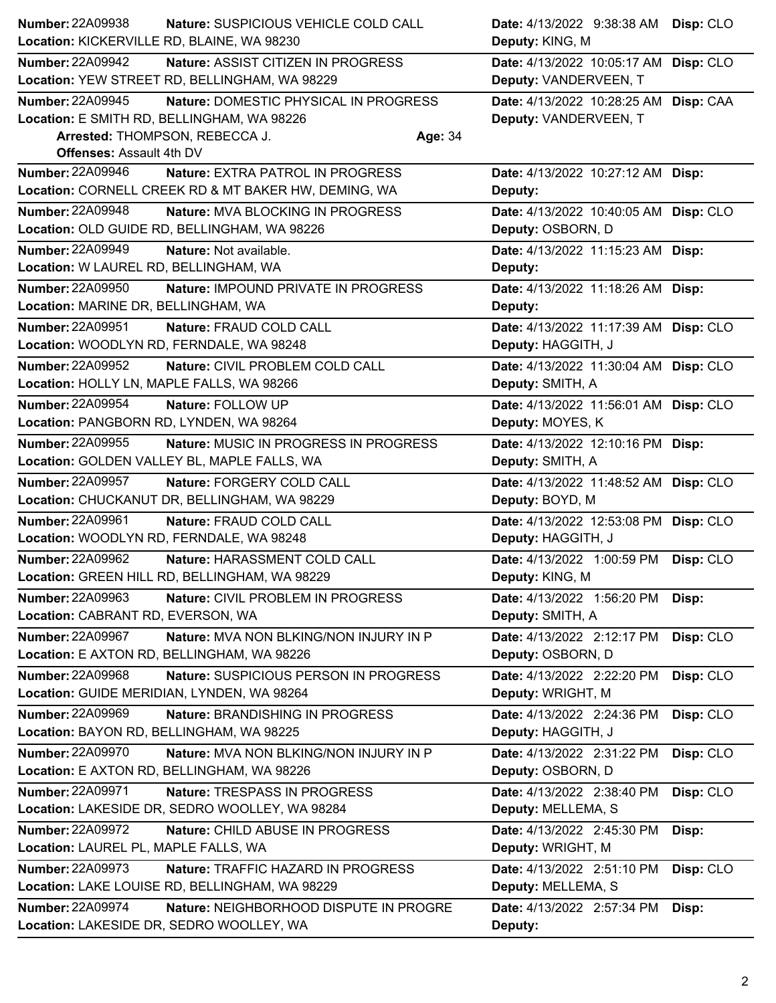| Number: 22A09938                           | Nature: SUSPICIOUS VEHICLE COLD CALL                 |         | Date: 4/13/2022 9:38:38 AM            | Disp: CLO |
|--------------------------------------------|------------------------------------------------------|---------|---------------------------------------|-----------|
| Location: KICKERVILLE RD, BLAINE, WA 98230 |                                                      |         | Deputy: KING, M                       |           |
| <b>Number: 22A09942</b>                    | Nature: ASSIST CITIZEN IN PROGRESS                   |         | Date: 4/13/2022 10:05:17 AM           | Disp: CLO |
|                                            | Location: YEW STREET RD, BELLINGHAM, WA 98229        |         | Deputy: VANDERVEEN, T                 |           |
| <b>Number: 22A09945</b>                    | Nature: DOMESTIC PHYSICAL IN PROGRESS                |         | Date: 4/13/2022 10:28:25 AM           | Disp: CAA |
| Location: E SMITH RD, BELLINGHAM, WA 98226 |                                                      |         | Deputy: VANDERVEEN, T                 |           |
| Arrested: THOMPSON, REBECCA J.             |                                                      | Age: 34 |                                       |           |
| <b>Offenses: Assault 4th DV</b>            |                                                      |         |                                       |           |
| <b>Number: 22A09946</b>                    | Nature: EXTRA PATROL IN PROGRESS                     |         | Date: 4/13/2022 10:27:12 AM Disp:     |           |
|                                            | Location: CORNELL CREEK RD & MT BAKER HW, DEMING, WA |         | Deputy:                               |           |
| <b>Number: 22A09948</b>                    | Nature: MVA BLOCKING IN PROGRESS                     |         | Date: 4/13/2022 10:40:05 AM Disp: CLO |           |
|                                            | Location: OLD GUIDE RD, BELLINGHAM, WA 98226         |         | Deputy: OSBORN, D                     |           |
| Number: 22A09949                           | Nature: Not available.                               |         | Date: 4/13/2022 11:15:23 AM Disp:     |           |
| Location: W LAUREL RD, BELLINGHAM, WA      |                                                      |         | Deputy:                               |           |
| <b>Number: 22A09950</b>                    | Nature: IMPOUND PRIVATE IN PROGRESS                  |         | Date: 4/13/2022 11:18:26 AM Disp:     |           |
| Location: MARINE DR, BELLINGHAM, WA        |                                                      |         | Deputy:                               |           |
| Number: 22A09951                           | Nature: FRAUD COLD CALL                              |         | Date: 4/13/2022 11:17:39 AM Disp: CLO |           |
| Location: WOODLYN RD, FERNDALE, WA 98248   |                                                      |         | Deputy: HAGGITH, J                    |           |
| <b>Number: 22A09952</b>                    | Nature: CIVIL PROBLEM COLD CALL                      |         | Date: 4/13/2022 11:30:04 AM Disp: CLO |           |
| Location: HOLLY LN, MAPLE FALLS, WA 98266  |                                                      |         | Deputy: SMITH, A                      |           |
| <b>Number: 22A09954</b>                    | Nature: FOLLOW UP                                    |         | Date: 4/13/2022 11:56:01 AM Disp: CLO |           |
| Location: PANGBORN RD, LYNDEN, WA 98264    |                                                      |         | Deputy: MOYES, K                      |           |
| <b>Number: 22A09955</b>                    | Nature: MUSIC IN PROGRESS IN PROGRESS                |         | Date: 4/13/2022 12:10:16 PM           | Disp:     |
|                                            | Location: GOLDEN VALLEY BL, MAPLE FALLS, WA          |         | Deputy: SMITH, A                      |           |
| Number: 22A09957                           | Nature: FORGERY COLD CALL                            |         | Date: 4/13/2022 11:48:52 AM           | Disp: CLO |
|                                            | Location: CHUCKANUT DR, BELLINGHAM, WA 98229         |         | Deputy: BOYD, M                       |           |
| Number: 22A09961                           | Nature: FRAUD COLD CALL                              |         | Date: 4/13/2022 12:53:08 PM           | Disp: CLO |
| Location: WOODLYN RD, FERNDALE, WA 98248   |                                                      |         | Deputy: HAGGITH, J                    |           |
| <b>Number: 22A09962</b>                    | Nature: HARASSMENT COLD CALL                         |         | Date: 4/13/2022 1:00:59 PM            | Disp: CLO |
|                                            | Location: GREEN HILL RD, BELLINGHAM, WA 98229        |         | Deputy: KING, M                       |           |
| Number: 22A09963                           | Nature: CIVIL PROBLEM IN PROGRESS                    |         | Date: 4/13/2022 1:56:20 PM            | Disp:     |
| Location: CABRANT RD, EVERSON, WA          |                                                      |         | Deputy: SMITH, A                      |           |
| Number: 22A09967                           | Nature: MVA NON BLKING/NON INJURY IN P               |         | Date: 4/13/2022 2:12:17 PM            | Disp: CLO |
|                                            | Location: E AXTON RD, BELLINGHAM, WA 98226           |         | Deputy: OSBORN, D                     |           |
| Number: 22A09968                           | Nature: SUSPICIOUS PERSON IN PROGRESS                |         | Date: 4/13/2022 2:22:20 PM            | Disp: CLO |
|                                            | Location: GUIDE MERIDIAN, LYNDEN, WA 98264           |         | Deputy: WRIGHT, M                     |           |
| Number: 22A09969                           | Nature: BRANDISHING IN PROGRESS                      |         | Date: 4/13/2022 2:24:36 PM            | Disp: CLO |
| Location: BAYON RD, BELLINGHAM, WA 98225   |                                                      |         | Deputy: HAGGITH, J                    |           |
| Number: 22A09970                           | <b>Nature: MVA NON BLKING/NON INJURY IN P</b>        |         | Date: 4/13/2022 2:31:22 PM            | Disp: CLO |
|                                            | Location: E AXTON RD, BELLINGHAM, WA 98226           |         | Deputy: OSBORN, D                     |           |
| Number: 22A09971                           | Nature: TRESPASS IN PROGRESS                         |         | Date: 4/13/2022 2:38:40 PM            | Disp: CLO |
|                                            | Location: LAKESIDE DR, SEDRO WOOLLEY, WA 98284       |         | Deputy: MELLEMA, S                    |           |
| <b>Number: 22A09972</b>                    | Nature: CHILD ABUSE IN PROGRESS                      |         | Date: 4/13/2022 2:45:30 PM            | Disp:     |
| Location: LAUREL PL, MAPLE FALLS, WA       |                                                      |         | Deputy: WRIGHT, M                     |           |
| Number: 22A09973                           | Nature: TRAFFIC HAZARD IN PROGRESS                   |         | Date: 4/13/2022 2:51:10 PM            | Disp: CLO |
|                                            | Location: LAKE LOUISE RD, BELLINGHAM, WA 98229       |         | Deputy: MELLEMA, S                    |           |
| <b>Number: 22A09974</b>                    | Nature: NEIGHBORHOOD DISPUTE IN PROGRE               |         | Date: 4/13/2022 2:57:34 PM            | Disp:     |
|                                            | Location: LAKESIDE DR, SEDRO WOOLLEY, WA             |         | Deputy:                               |           |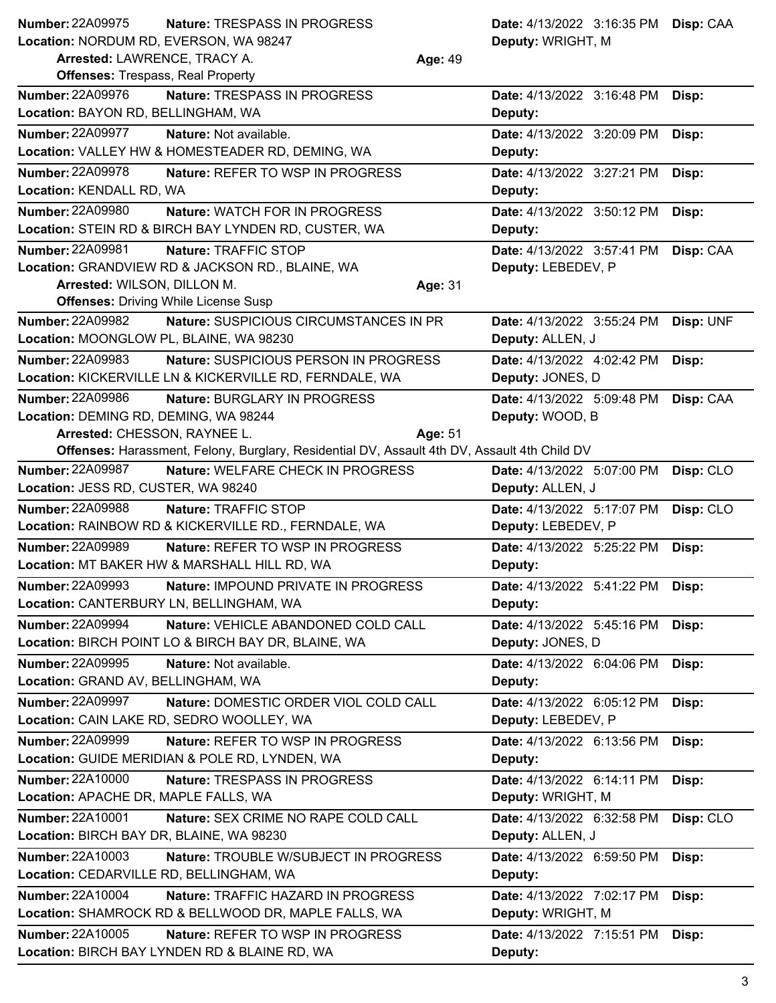**Nature: TRESPASS IN PROGRESS Location:** NORDUM RD, EVERSON, WA 98247 **Number: 22A09975** 

**Arrested:** LAWRENCE, TRACY A. **Age:** 49

**Deputy:** WRIGHT, M **Disp:** CAA

| <b>Offenses: Trespass, Real Property</b>                                                     |                            |           |
|----------------------------------------------------------------------------------------------|----------------------------|-----------|
| <b>Number: 22A09976</b><br>Nature: TRESPASS IN PROGRESS                                      | Date: 4/13/2022 3:16:48 PM | Disp:     |
| Location: BAYON RD, BELLINGHAM, WA                                                           | Deputy:                    |           |
| <b>Number: 22A09977</b><br>Nature: Not available.                                            | Date: 4/13/2022 3:20:09 PM | Disp:     |
| Location: VALLEY HW & HOMESTEADER RD, DEMING, WA                                             | Deputy:                    |           |
| Number: 22A09978<br><b>Nature: REFER TO WSP IN PROGRESS</b>                                  | Date: 4/13/2022 3:27:21 PM | Disp:     |
| Location: KENDALL RD, WA                                                                     | Deputy:                    |           |
| <b>Number: 22A09980</b><br><b>Nature: WATCH FOR IN PROGRESS</b>                              | Date: 4/13/2022 3:50:12 PM | Disp:     |
| Location: STEIN RD & BIRCH BAY LYNDEN RD, CUSTER, WA                                         | Deputy:                    |           |
| <b>Number: 22A09981</b><br>Nature: TRAFFIC STOP                                              | Date: 4/13/2022 3:57:41 PM | Disp: CAA |
| Location: GRANDVIEW RD & JACKSON RD., BLAINE, WA                                             | Deputy: LEBEDEV, P         |           |
| Arrested: WILSON, DILLON M.<br>Age: 31                                                       |                            |           |
| <b>Offenses: Driving While License Susp</b>                                                  |                            |           |
| <b>Number: 22A09982</b><br>Nature: SUSPICIOUS CIRCUMSTANCES IN PR                            | Date: 4/13/2022 3:55:24 PM | Disp: UNF |
| Location: MOONGLOW PL, BLAINE, WA 98230                                                      | Deputy: ALLEN, J           |           |
| Number: 22A09983<br>Nature: SUSPICIOUS PERSON IN PROGRESS                                    | Date: 4/13/2022 4:02:42 PM | Disp:     |
| Location: KICKERVILLE LN & KICKERVILLE RD, FERNDALE, WA                                      | Deputy: JONES, D           |           |
| <b>Number: 22A09986</b><br>Nature: BURGLARY IN PROGRESS                                      | Date: 4/13/2022 5:09:48 PM | Disp: CAA |
| Location: DEMING RD, DEMING, WA 98244                                                        | Deputy: WOOD, B            |           |
| Arrested: CHESSON, RAYNEE L.<br>Age: 51                                                      |                            |           |
| Offenses: Harassment, Felony, Burglary, Residential DV, Assault 4th DV, Assault 4th Child DV |                            |           |
| <b>Number: 22A09987</b><br>Nature: WELFARE CHECK IN PROGRESS                                 | Date: 4/13/2022 5:07:00 PM | Disp: CLO |
| Location: JESS RD, CUSTER, WA 98240                                                          | Deputy: ALLEN, J           |           |
| <b>Number: 22A09988</b><br>Nature: TRAFFIC STOP                                              | Date: 4/13/2022 5:17:07 PM | Disp: CLO |
| Location: RAINBOW RD & KICKERVILLE RD., FERNDALE, WA                                         | Deputy: LEBEDEV, P         |           |
| <b>Number: 22A09989</b><br><b>Nature: REFER TO WSP IN PROGRESS</b>                           | Date: 4/13/2022 5:25:22 PM | Disp:     |
| Location: MT BAKER HW & MARSHALL HILL RD, WA                                                 | Deputy:                    |           |
| <b>Number: 22A09993</b><br>Nature: IMPOUND PRIVATE IN PROGRESS                               | Date: 4/13/2022 5:41:22 PM | Disp:     |
| Location: CANTERBURY LN, BELLINGHAM, WA                                                      | Deputy:                    |           |
| <b>Number: 22A09994</b><br>Nature: VEHICLE ABANDONED COLD CALL                               | Date: 4/13/2022 5:45:16 PM | Disp:     |
| Location: BIRCH POINT LO & BIRCH BAY DR, BLAINE, WA                                          | Deputy: JONES, D           |           |
| <b>Number: 22A09995</b><br>Nature: Not available.                                            | Date: 4/13/2022 6:04:06 PM | Disp:     |
| Location: GRAND AV, BELLINGHAM, WA                                                           | Deputy:                    |           |
| <b>Number: 22A09997</b><br>Nature: DOMESTIC ORDER VIOL COLD CALL                             | Date: 4/13/2022 6:05:12 PM | Disp:     |
| Location: CAIN LAKE RD, SEDRO WOOLLEY, WA                                                    | Deputy: LEBEDEV, P         |           |
| Number: 22A09999<br>Nature: REFER TO WSP IN PROGRESS                                         | Date: 4/13/2022 6:13:56 PM | Disp:     |
| Location: GUIDE MERIDIAN & POLE RD, LYNDEN, WA                                               | Deputy:                    |           |
| <b>Number: 22A10000</b><br>Nature: TRESPASS IN PROGRESS                                      | Date: 4/13/2022 6:14:11 PM | Disp:     |
| Location: APACHE DR, MAPLE FALLS, WA                                                         | Deputy: WRIGHT, M          |           |
| <b>Number: 22A10001</b><br>Nature: SEX CRIME NO RAPE COLD CALL                               | Date: 4/13/2022 6:32:58 PM | Disp: CLO |
| Location: BIRCH BAY DR, BLAINE, WA 98230                                                     | Deputy: ALLEN, J           |           |
| Number: 22A10003<br>Nature: TROUBLE W/SUBJECT IN PROGRESS                                    | Date: 4/13/2022 6:59:50 PM | Disp:     |
| Location: CEDARVILLE RD, BELLINGHAM, WA                                                      | Deputy:                    |           |
| <b>Number: 22A10004</b><br>Nature: TRAFFIC HAZARD IN PROGRESS                                | Date: 4/13/2022 7:02:17 PM | Disp:     |
| Location: SHAMROCK RD & BELLWOOD DR, MAPLE FALLS, WA                                         | Deputy: WRIGHT, M          |           |
| Number: 22A10005<br>Nature: REFER TO WSP IN PROGRESS                                         | Date: 4/13/2022 7:15:51 PM | Disp:     |
| Location: BIRCH BAY LYNDEN RD & BLAINE RD, WA                                                | Deputy:                    |           |